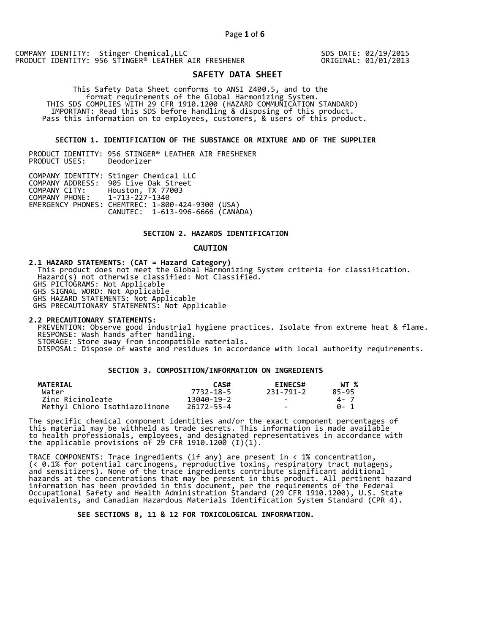SDS DATE: 02/19/2015 ORIGINAL: 01/01/2013

# **SAFETY DATA SHEET**

 This Safety Data Sheet conforms to ANSI Z400.5, and to the format requirements of the Global Harmonizing System. THIS SDS COMPLIES WITH 29 CFR 1910.1200 (HAZARD COMMUNICATION STANDARD) IMPORTANT: Read this SDS before handling & disposing of this product. Pass this information on to employees, customers, & users of this product.

### **SECTION 1. IDENTIFICATION OF THE SUBSTANCE OR MIXTURE AND OF THE SUPPLIER**

PRODUCT IDENTITY: 956 STINGER® LEATHER AIR FRESHENER PRODUCT USES:

|                               | COMPANY IDENTITY: Stinger Chemical LLC           |  |
|-------------------------------|--------------------------------------------------|--|
|                               | COMPANY ADDRESS: 905 Live Oak Street             |  |
| COMPANY CITY:                 | Houston, TX 77003                                |  |
| COMPANY PHONE: 1-713-227-1340 |                                                  |  |
|                               | EMERGENCY PHONES: CHEMTREC: 1-800-424-9300 (USA) |  |
|                               | CANUTEC: 1-613-996-6666 (CANADA)                 |  |

## **SECTION 2. HAZARDS IDENTIFICATION**

#### **CAUTION**

**2.1 HAZARD STATEMENTS: (CAT = Hazard Category)** This product does not meet the Global Harmonizing System criteria for classification. Hazard(s) not otherwise classified: Not Classified. GHS PICTOGRAMS: Not Applicable GHS SIGNAL WORD: Not Applicable GHS HAZARD STATEMENTS: Not Applicable GHS PRECAUTIONARY STATEMENTS: Not Applicable

**2.2 PRECAUTIONARY STATEMENTS:**  PREVENTION: Observe good industrial hygiene practices. Isolate from extreme heat & flame. RESPONSE: Wash hands after handling. STORAGE: Store away from incompatible materials. DISPOSAL: Dispose of waste and residues in accordance with local authority requirements.

# **SECTION 3. COMPOSITION/INFORMATION ON INGREDIENTS**

| <b>MATERIAL</b>               | CAS#       | <b>EINECS#</b> | WT %  |
|-------------------------------|------------|----------------|-------|
| Water                         | 7732-18-5  | 231-791-2      | 85-95 |
| Zinc Ricinoleate              | 13040-19-2 | $\sim$         | 4 - 7 |
| Methyl Chloro Isothiazolinone | 26172-55-4 | $\sim$         | A- 1  |

The specific chemical component identities and/or the exact component percentages of this material may be withheld as trade secrets. This information is made available to health professionals, employees, and designated representatives in accordance with the applicable provisions of 29 CFR 1910.1200̄ (I)(1).  $\overline{\phantom{a}}$ 

TRACE COMPONENTS: Trace ingredients (if any) are present in < 1% concentration, (< 0.1% for potential carcinogens, reproductive toxins, respiratory tract mutagens, and sensitizers). None of the trace ingredients contribute significant additional hazards at the concentrations that may be present in this product. All pertinent hazard information has been provided in this document, per the requirements of the Federal Occupational Safety and Health Administration Standard (29 CFR 1910.1200), U.S. State equivalents, and Canadian Hazardous Materials Identification System Standard (CPR 4).

 **SEE SECTIONS 8, 11 & 12 FOR TOXICOLOGICAL INFORMATION.**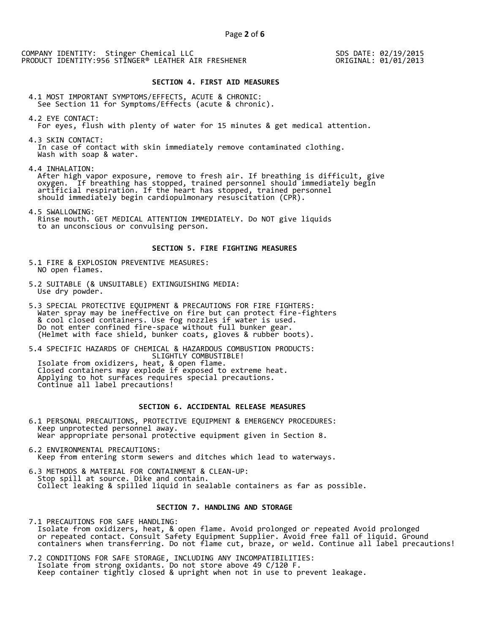SDS DATE: 02/19/2015 ORIGINAL: 01/01/2013

### **SECTION 4. FIRST AID MEASURES**

4.1 MOST IMPORTANT SYMPTOMS/EFFECTS, ACUTE & CHRONIC: See Section 11 for Symptoms/Effects (acute & chronic).

- 4.2 EYE CONTACT: For eyes, flush with plenty of water for 15 minutes & get medical attention.
- 4.3 SKIN CONTACT: In case of contact with skin immediately remove contaminated clothing. Wash with soap & water.

4.4 INHALATION:

 After high vapor exposure, remove to fresh air. If breathing is difficult, give oxygen. If breathing has stopped, trained personnel should immediately begin artificial respiration. If the heart has stopped, trained personnel should immediately begin cardiopulmonary resuscitation (CPR).

4.5 SWALLOWING: Rinse mouth. GET MEDICAL ATTENTION IMMEDIATELY. Do NOT give liquids to an unconscious or convulsing person.

### **SECTION 5. FIRE FIGHTING MEASURES**

- 5.1 FIRE & EXPLOSION PREVENTIVE MEASURES: NO open flames.
- 5.2 SUITABLE (& UNSUITABLE) EXTINGUISHING MEDIA: Use dry powder.
- 5.3 SPECIAL PROTECTIVE EQUIPMENT & PRECAUTIONS FOR FIRE FIGHTERS: Water spray may be ineffective on fire but can protect fire-fighters & cool closed containers. Use fog nozzles if water is used. Do not enter confined fire-space without full bunker gear. (Helmet with face shield, bunker coats, gloves & rubber boots).

5.4 SPECIFIC HAZARDS OF CHEMICAL & HAZARDOUS COMBUSTION PRODUCTS: SLIGHTLY COMBUSTIBLE! Isolate from oxidizers, heat, & open flame. Closed containers may explode if exposed to extreme heat. Applying to hot surfaces requires special precautions. Continue all label precautions!

# **SECTION 6. ACCIDENTAL RELEASE MEASURES**

- 6.1 PERSONAL PRECAUTIONS, PROTECTIVE EQUIPMENT & EMERGENCY PROCEDURES: Keep unprotected personnel away. Wear appropriate personal protective equipment given in Section 8.
- 6.2 ENVIRONMENTAL PRECAUTIONS: Keep from entering storm sewers and ditches which lead to waterways.
- 6.3 METHODS & MATERIAL FOR CONTAINMENT & CLEAN-UP: Stop spill at source. Dike and contain. Collect leaking & spilled liquid in sealable containers as far as possible.

### **SECTION 7. HANDLING AND STORAGE**

7.1 PRECAUTIONS FOR SAFE HANDLING: Isolate from oxidizers, heat, & open flame. Avoid prolonged or repeated Avoid prolonged or repeated contact. Consult Safety Equipment Supplier. Avoid free fall of liquid. Ground containers when transferring. Do not flame cut, braze, or weld. Continue all label precautions!

7.2 CONDITIONS FOR SAFE STORAGE, INCLUDING ANY INCOMPATIBILITIES: Isolate from strong oxidants. Do not store above 49 C/120 F. Keep container tightly closed & upright when not in use to prevent leakage.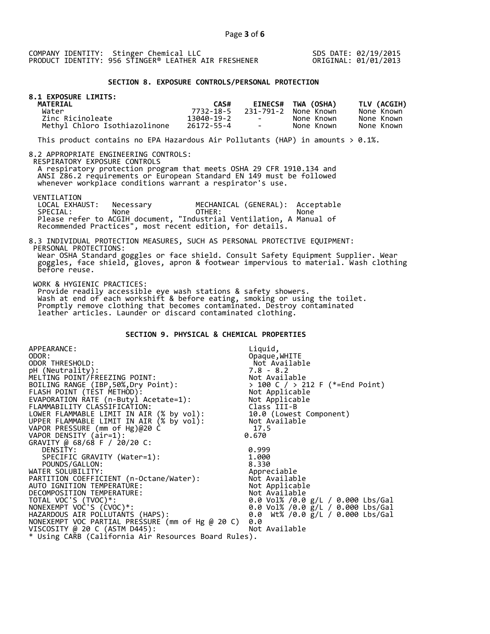SDS DATE: 02/19/2015 ORIGINAL: 01/01/2013

#### **SECTION 8. EXPOSURE CONTROLS/PERSONAL PROTECTION**

| 8.1 EXPOSURE LIMITS:<br><b>MATERIAL</b> | CAS#       |                          | EINECS# TWA (OSHA)   | TLV (ACGIH) |
|-----------------------------------------|------------|--------------------------|----------------------|-------------|
| Water                                   | 7732-18-5  |                          | 231-791-2 None Known | None Known  |
| Zinc Ricinoleate                        | 13040-19-2 | <b>Contract Contract</b> | None Known           | None Known  |
| Methyl Chloro Isothiazolinone           | 26172-55-4 | <b>Contract Contract</b> | None Known           | None Known  |

This product contains no EPA Hazardous Air Pollutants (HAP) in amounts  $> 0.1\%$ .

#### 8.2 APPROPRIATE ENGINEERING CONTROLS:

RESPIRATORY EXPOSURE CONTROLS

 A respiratory protection program that meets OSHA 29 CFR 1910.134 and ANSI Z86.2 requirements or European Standard EN 149 must be followed whenever workplace conditions warrant a respirator's use.

VENTILATION<br>LOCAL EXHAUST:

LOCAL EXHAUST: Necessary MECHANICAL (GENERAL): Acceptable<br>SPECIAL: None OTHER: None SPECIAL: None OTHER: None Please refer to ACGIH document, "Industrial Ventilation, A Manual of Recommended Practices", most recent edition, for details.

#### 8.3 INDIVIDUAL PROTECTION MEASURES, SUCH AS PERSONAL PROTECTIVE EQUIPMENT: PERSONAL PROTECTIONS: Wear OSHA Standard goggles or face shield. Consult Safety Equipment Supplier. Wear goggles, face shield, gloves, apron & footwear impervious to material. Wash clothing before reuse.

WORK & HYGIENIC PRACTICES:

 Provide readily accessible eye wash stations & safety showers. Wash at end of each workshift & before eating, smoking or using the toilet. Promptly remove clothing that becomes contaminated. Destroy contaminated leather articles. Launder or discard contaminated clothing.

# **SECTION 9. PHYSICAL & CHEMICAL PROPERTIES**

| APPEARANCE:                                          | Liquid,                                        |
|------------------------------------------------------|------------------------------------------------|
| ODOR:                                                | Opaque, WHITE                                  |
| ODOR THRESHOLD:                                      | Not Available                                  |
| pH (Neutrality):                                     | $7.8 - 8.2$                                    |
| MELTING POINT/FREEZING POINT:                        | Not Available                                  |
| BOILING RANGE (IBP, 50%, Dry Point):                 | > 100 C / > 212 F (*=End Point)                |
| FLASH POINT (TÈST METHOD):                           | > 100 C / > ∠i∠<br>Not Applicable<br>Armicable |
| EVAPORATION RATE (n-Butyl Acetate=1):                | Not Applicable                                 |
| FLAMMABILITY CLASSIFICATION:                         | Class III-B                                    |
| LOWER FLAMMABLE LIMIT IN AIR (% by vol):             | 10.0 (Lowest Component)                        |
| UPPER FLAMMABLE LIMIT IN AIR (% by vol):             | Not Available                                  |
| VAPOR PRESSURE (mm of Hg)@20 C                       | 17.5                                           |
| VAPOR DENSITY (air=1):                               | 0.670                                          |
| GRAVITY @ 68/68 F / 20/20 C:                         |                                                |
| DENSITY:                                             | 0.999                                          |
| SPECIFIC GRAVITY (Water=1):                          | 1.000                                          |
| POUNDS/GALLON:                                       | 8.330                                          |
| WATER SOLUBILITY:                                    | Appreciable                                    |
| PARTITION COEFFICIENT (n-Octane/Water):              | Not Available                                  |
| AUTO IGNITION TEMPERATURE:                           | Not Applicable                                 |
| DECOMPOSITION TEMPERATURE:                           | Not Available                                  |
| TOTAL VOC'S (TVOC)*:                                 | 0.0 Vol% /0.0 g/L / 0.000 Lbs/Gal              |
| NONEXEMPT VOC'S (CVOC)*:                             | 0.0 Vol% /0.0 g/L / 0.000 Lbs/Gal              |
| HAZARDOUS AIR POLLUTANTS (HAPS):                     | 0.0 Wt% /0.0 g/L / 0.000 Lbs/Gal               |
| NONEXEMPT VOC PARTIAL PRESSURE (mm of Hg @ 20 C)     | 0.0                                            |
| VISCOSITY @ 20 C (ASTM D445):                        | Not Available                                  |
| * Using CARB (California Air Resources Board Rules). |                                                |
|                                                      |                                                |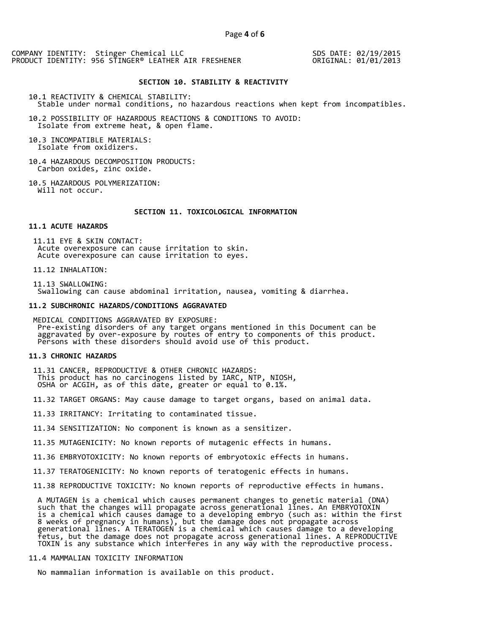SDS DATE: 02/19/2015 ORIGINAL: 01/01/2013

#### **SECTION 10. STABILITY & REACTIVITY**

10.1 REACTIVITY & CHEMICAL STABILITY: Stable under normal conditions, no hazardous reactions when kept from incompatibles.

10.2 POSSIBILITY OF HAZARDOUS REACTIONS & CONDITIONS TO AVOID: Isolate from extreme heat, & open flame.

10.3 INCOMPATIBLE MATERIALS: Isolate from oxidizers.

10.4 HAZARDOUS DECOMPOSITION PRODUCTS: Carbon oxides, zinc oxide.

10.5 HAZARDOUS POLYMERIZATION: Will not occur.

#### **SECTION 11. TOXICOLOGICAL INFORMATION**

#### **11.1 ACUTE HAZARDS**

 11.11 EYE & SKIN CONTACT: Acute overexposure can cause irritation to skin. Acute overexposure can cause irritation to eyes.

11.12 INHALATION:

 11.13 SWALLOWING: Swallowing can cause abdominal irritation, nausea, vomiting & diarrhea.

#### **11.2 SUBCHRONIC HAZARDS/CONDITIONS AGGRAVATED**

 MEDICAL CONDITIONS AGGRAVATED BY EXPOSURE: Pre-existing disorders of any target organs mentioned in this Document can be aggravated by over-exposure by routes of entry to components of this product. Persons with these disorders should avoid use of this product.

#### **11.3 CHRONIC HAZARDS**

 11.31 CANCER, REPRODUCTIVE & OTHER CHRONIC HAZARDS: This product has no carcinogens listed by IARC, NTP, NIOSH, OSHA or ACGIH, as of this date, greater or equal to 0.1%.

11.32 TARGET ORGANS: May cause damage to target organs, based on animal data.

11.33 IRRITANCY: Irritating to contaminated tissue.

11.34 SENSITIZATION: No component is known as a sensitizer.

11.35 MUTAGENICITY: No known reports of mutagenic effects in humans.

11.36 EMBRYOTOXICITY: No known reports of embryotoxic effects in humans.

11.37 TERATOGENICITY: No known reports of teratogenic effects in humans.

11.38 REPRODUCTIVE TOXICITY: No known reports of reproductive effects in humans.

 A MUTAGEN is a chemical which causes permanent changes to genetic material (DNA) such that the changes will propagate across generational lines. An EMBRYOTOXIN is a chemical which causes damage to a developing embryo (such as: within the first 8 weeks of pregnancy in humans), but the damage does not propagate across generational lines. A TERATOGEN is a chemical which causes damage to a developing fetus, but the damage does not propagate across generational lines. A REPRODUCTIVE TOXIN is any substance which interferes in any way with the reproductive process.

# 11.4 MAMMALIAN TOXICITY INFORMATION

No mammalian information is available on this product.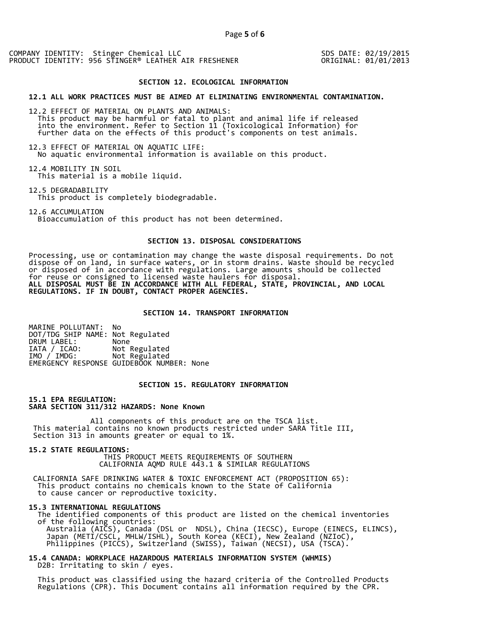SDS DATE: 02/19/2015 ORIGINAL: 01/01/2013

#### **SECTION 12. ECOLOGICAL INFORMATION**

#### **12.1 ALL WORK PRACTICES MUST BE AIMED AT ELIMINATING ENVIRONMENTAL CONTAMINATION.**

12.2 EFFECT OF MATERIAL ON PLANTS AND ANIMALS: This product may be harmful or fatal to plant and animal life if released into the environment. Refer to Section 11 (Toxicological Information) for further data on the effects of this product's components on test animals.

12.3 EFFECT OF MATERIAL ON AQUATIC LIFE: No aquatic environmental information is available on this product.

12.4 MOBILITY IN SOIL This material is a mobile liquid.

12.5 DEGRADABILITY This product is completely biodegradable.

12.6 ACCUMULATION Bioaccumulation of this product has not been determined.

## **SECTION 13. DISPOSAL CONSIDERATIONS**

Processing, use or contamination may change the waste disposal requirements. Do not dispose of on land, in surface waters, or in storm drains. Waste should be recycled or disposed of in accordance with regulations. Large amounts should be collected for reuse or consigned to licensed waste haulers for disposal. **ALL DISPOSAL MUST BE IN ACCORDANCE WITH ALL FEDERAL, STATE, PROVINCIAL, AND LOCAL REGULATIONS. IF IN DOUBT, CONTACT PROPER AGENCIES.** 

### **SECTION 14. TRANSPORT INFORMATION**

MARINE POLLUTANT: No DOT/TDG SHIP NAME: Not Regulated DRUM LABEL:<br>IATA / ICAO: IATA / ICAO: Not Regulated<br>IMO / IMDG: Not Regulated Not Regulated EMERGENCY RESPONSE GUIDEBOOK NUMBER: None

## **SECTION 15. REGULATORY INFORMATION**

**15.1 EPA REGULATION: SARA SECTION 311/312 HAZARDS: None Known** 

All components of this product are on the TSCA list. This material contains no known products restricted under SARA Title III, Section 313 in amounts greater or equal to 1%.

**15.2 STATE REGULATIONS:**

 THIS PRODUCT MEETS REQUIREMENTS OF SOUTHERN CALIFORNIA AQMD RULE 443.1 & SIMILAR REGULATIONS

 CALIFORNIA SAFE DRINKING WATER & TOXIC ENFORCEMENT ACT (PROPOSITION 65): This product contains no chemicals known to the State of California to cause cancer or reproductive toxicity.

#### **15.3 INTERNATIONAL REGULATIONS**

 The identified components of this product are listed on the chemical inventories of the following countries: Australia (AICS), Canada (DSL or NDSL), China (IECSC), Europe (EINECS, ELINCS), Japan (METI/CSCL, MHLW/ISHL), South Korea (KECI), New Zealand (NZIoC), Philippines (PICCS), Switzerland (SWISS), Taiwan (NECSI), USA (TSCA).

**15.4 CANADA: WORKPLACE HAZARDOUS MATERIALS INFORMATION SYSTEM (WHMIS)**  D2B: Irritating to skin / eyes.

 This product was classified using the hazard criteria of the Controlled Products Regulations (CPR). This Document contains all information required by the CPR.